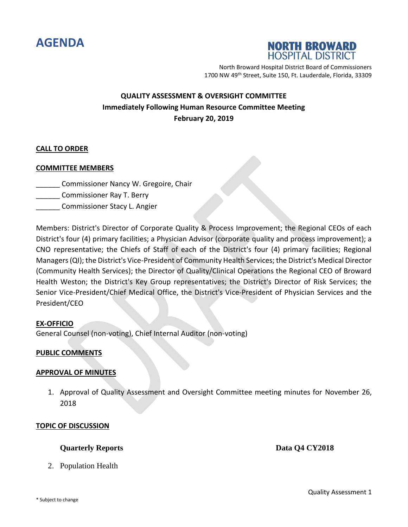



North Broward Hospital District Board of Commissioners 1700 NW 49<sup>th</sup> Street, Suite 150, Ft. Lauderdale, Florida, 33309

# **QUALITY ASSESSMENT & OVERSIGHT COMMITTEE Immediately Following Human Resource Committee Meeting February 20, 2019**

# **CALL TO ORDER**

# **COMMITTEE MEMBERS**

\_\_\_\_\_\_ Commissioner Nancy W. Gregoire, Chair

- \_\_\_\_\_\_ Commissioner Ray T. Berry
- \_\_\_\_\_\_ Commissioner Stacy L. Angier

Members: District's Director of Corporate Quality & Process Improvement; the Regional CEOs of each District's four (4) primary facilities; a Physician Advisor (corporate quality and process improvement); a CNO representative; the Chiefs of Staff of each of the District's four (4) primary facilities; Regional Managers (QI); the District's Vice-President of Community Health Services; the District's Medical Director (Community Health Services); the Director of Quality/Clinical Operations the Regional CEO of Broward Health Weston; the District's Key Group representatives; the District's Director of Risk Services; the Senior Vice-President/Chief Medical Office, the District's Vice-President of Physician Services and the President/CEO

# **EX-OFFICIO**

General Counsel (non-voting), Chief Internal Auditor (non-voting)

# **PUBLIC COMMENTS**

# **APPROVAL OF MINUTES**

1. Approval of Quality Assessment and Oversight Committee meeting minutes for November 26, 2018

#### **TOPIC OF DISCUSSION**

# **Quarterly Reports Data Q4 CY2018**

2. Population Health